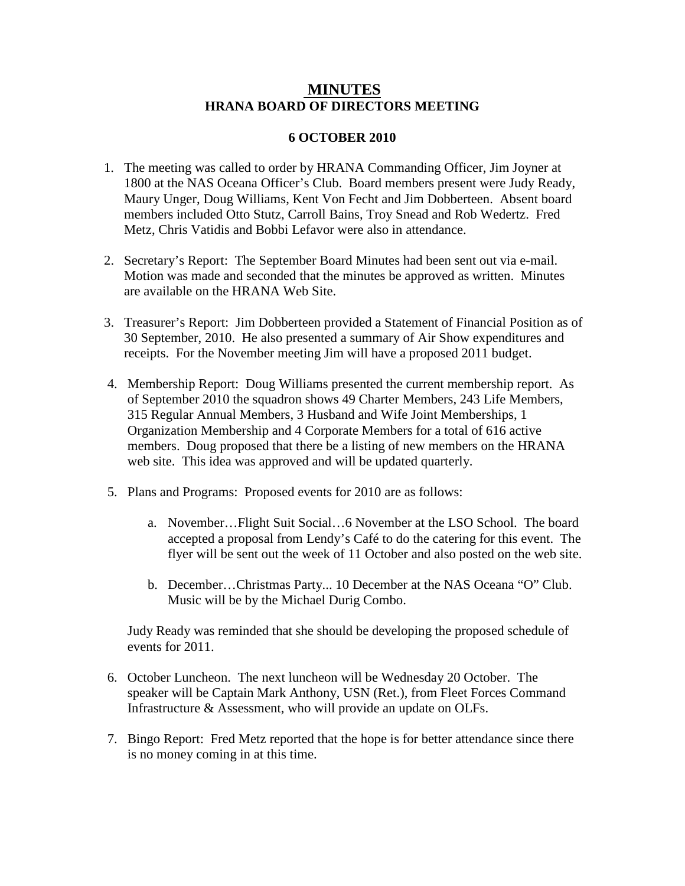## **MINUTES HRANA BOARD OF DIRECTORS MEETING**

## **6 OCTOBER 2010**

- 1. The meeting was called to order by HRANA Commanding Officer, Jim Joyner at 1800 at the NAS Oceana Officer's Club. Board members present were Judy Ready, Maury Unger, Doug Williams, Kent Von Fecht and Jim Dobberteen. Absent board members included Otto Stutz, Carroll Bains, Troy Snead and Rob Wedertz. Fred Metz, Chris Vatidis and Bobbi Lefavor were also in attendance.
- 2. Secretary's Report: The September Board Minutes had been sent out via e-mail. Motion was made and seconded that the minutes be approved as written. Minutes are available on the HRANA Web Site.
- 3. Treasurer's Report: Jim Dobberteen provided a Statement of Financial Position as of 30 September, 2010. He also presented a summary of Air Show expenditures and receipts. For the November meeting Jim will have a proposed 2011 budget.
- 4. Membership Report: Doug Williams presented the current membership report. As of September 2010 the squadron shows 49 Charter Members, 243 Life Members, 315 Regular Annual Members, 3 Husband and Wife Joint Memberships, 1 Organization Membership and 4 Corporate Members for a total of 616 active members. Doug proposed that there be a listing of new members on the HRANA web site. This idea was approved and will be updated quarterly.
- 5. Plans and Programs: Proposed events for 2010 are as follows:
	- a. November…Flight Suit Social…6 November at the LSO School. The board accepted a proposal from Lendy's Café to do the catering for this event. The flyer will be sent out the week of 11 October and also posted on the web site.
	- b. December…Christmas Party... 10 December at the NAS Oceana "O" Club. Music will be by the Michael Durig Combo.

 Judy Ready was reminded that she should be developing the proposed schedule of events for 2011.

- 6. October Luncheon. The next luncheon will be Wednesday 20 October. The speaker will be Captain Mark Anthony, USN (Ret.), from Fleet Forces Command Infrastructure & Assessment, who will provide an update on OLFs.
- 7. Bingo Report: Fred Metz reported that the hope is for better attendance since there is no money coming in at this time.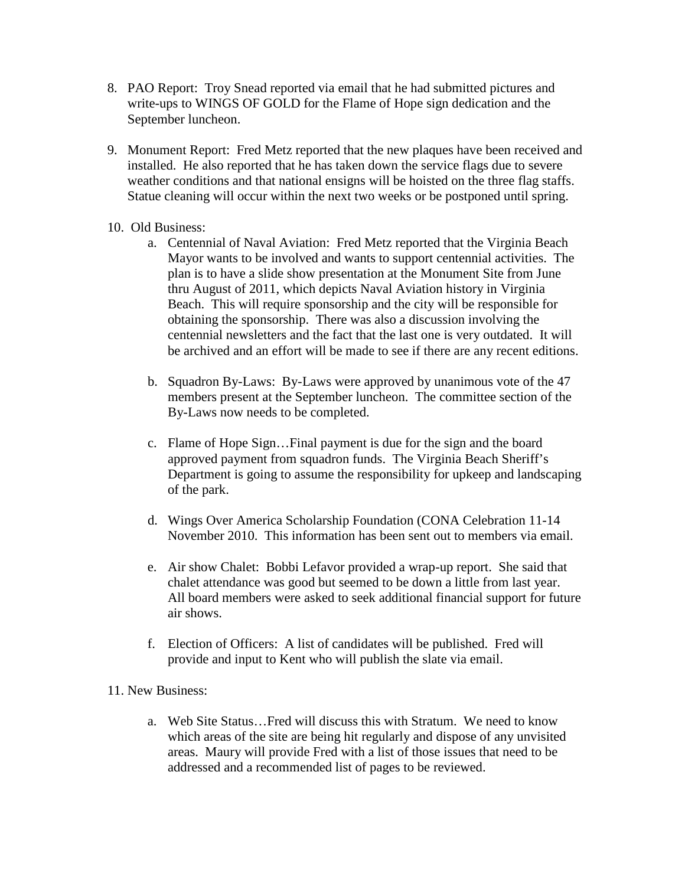- 8. PAO Report: Troy Snead reported via email that he had submitted pictures and write-ups to WINGS OF GOLD for the Flame of Hope sign dedication and the September luncheon.
- 9. Monument Report: Fred Metz reported that the new plaques have been received and installed. He also reported that he has taken down the service flags due to severe weather conditions and that national ensigns will be hoisted on the three flag staffs. Statue cleaning will occur within the next two weeks or be postponed until spring.
- 10. Old Business:
	- a. Centennial of Naval Aviation: Fred Metz reported that the Virginia Beach Mayor wants to be involved and wants to support centennial activities. The plan is to have a slide show presentation at the Monument Site from June thru August of 2011, which depicts Naval Aviation history in Virginia Beach. This will require sponsorship and the city will be responsible for obtaining the sponsorship. There was also a discussion involving the centennial newsletters and the fact that the last one is very outdated. It will be archived and an effort will be made to see if there are any recent editions.
	- b. Squadron By-Laws: By-Laws were approved by unanimous vote of the 47 members present at the September luncheon. The committee section of the By-Laws now needs to be completed.
	- c. Flame of Hope Sign…Final payment is due for the sign and the board approved payment from squadron funds. The Virginia Beach Sheriff's Department is going to assume the responsibility for upkeep and landscaping of the park.
	- d. Wings Over America Scholarship Foundation (CONA Celebration 11-14 November 2010. This information has been sent out to members via email.
	- e. Air show Chalet: Bobbi Lefavor provided a wrap-up report. She said that chalet attendance was good but seemed to be down a little from last year. All board members were asked to seek additional financial support for future air shows.
	- f. Election of Officers: A list of candidates will be published. Fred will provide and input to Kent who will publish the slate via email.

## 11. New Business:

a. Web Site Status…Fred will discuss this with Stratum. We need to know which areas of the site are being hit regularly and dispose of any unvisited areas. Maury will provide Fred with a list of those issues that need to be addressed and a recommended list of pages to be reviewed.